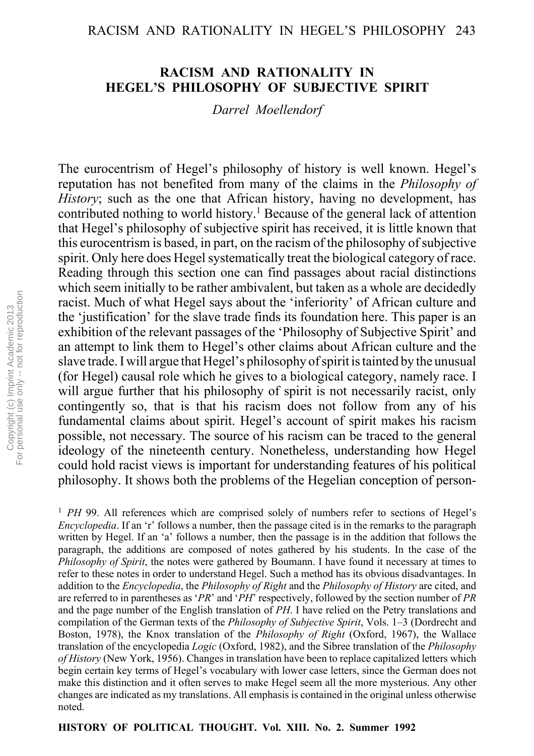## RACISM AND RATIONALITY IN HEGEL'S PHILOSOPHY 243

## **RACISM AND RATIONALITY IN HEGELíS PHILOSOPHY OF SUBJECTIVE SPIRIT**

*Darrel Moellendorf*

The eurocentrism of Hegel's philosophy of history is well known. Hegel's reputation has not benefited from many of the claims in the *Philosophy of History*; such as the one that African history, having no development, has contributed nothing to world history.<sup>1</sup> Because of the general lack of attention that Hegel's philosophy of subjective spirit has received, it is little known that this eurocentrism is based, in part, on the racism of the philosophy of subjective spirit. Only here does Hegel systematically treat the biological category of race. Reading through this section one can find passages about racial distinctions which seem initially to be rather ambivalent, but taken as a whole are decidedly racist. Much of what Hegel says about the 'inferiority' of African culture and the 'justification' for the slave trade finds its foundation here. This paper is an exhibition of the relevant passages of the 'Philosophy of Subjective Spirit' and an attempt to link them to Hegel's other claims about African culture and the slave trade. I will argue that Hegel's philosophy of spirit is tainted by the unusual (for Hegel) causal role which he gives to a biological category, namely race. I will argue further that his philosophy of spirit is not necessarily racist, only contingently so, that is that his racism does not follow from any of his fundamental claims about spirit. Hegel's account of spirit makes his racism possible, not necessary. The source of his racism can be traced to the general ideology of the nineteenth century. Nonetheless, understanding how Hegel could hold racist views is important for understanding features of his political philosophy. It shows both the problems of the Hegelian conception of person-

<sup>1</sup> *PH* 99. All references which are comprised solely of numbers refer to sections of Hegel's *Encyclopedia*. If an 'r' follows a number, then the passage cited is in the remarks to the paragraph written by Hegel. If an 'a' follows a number, then the passage is in the addition that follows the paragraph, the additions are composed of notes gathered by his students. In the case of the *Philosophy of Spirit*, the notes were gathered by Boumann. I have found it necessary at times to refer to these notes in order to understand Hegel. Such a method has its obvious disadvantages. In addition to the *Encyclopedia*, the *Philosophy of Right* and the *Philosophy of History* are cited, and are referred to in parentheses as '*PR*' and '*PH*<sup> $\prime$ </sup> respectively, followed by the section number of *PR* and the page number of the English translation of *PH*. I have relied on the Petry translations and compilation of the German texts of the *Philosophy of Subjective Spirit*, Vols. 1–3 (Dordrecht and Boston, 1978), the Knox translation of the *Philosophy of Right* (Oxford, 1967), the Wallace translation of the encyclopedia *Logic* (Oxford, 1982), and the Sibree translation of the *Philosophy of History* (New York, 1956). Changes in translation have been to replace capitalized letters which begin certain key terms of Hegel's vocabulary with lower case letters, since the German does not make this distinction and it often serves to make Hegel seem all the more mysterious. Any other changes are indicated as my translations. All emphasis is contained in the original unless otherwise noted.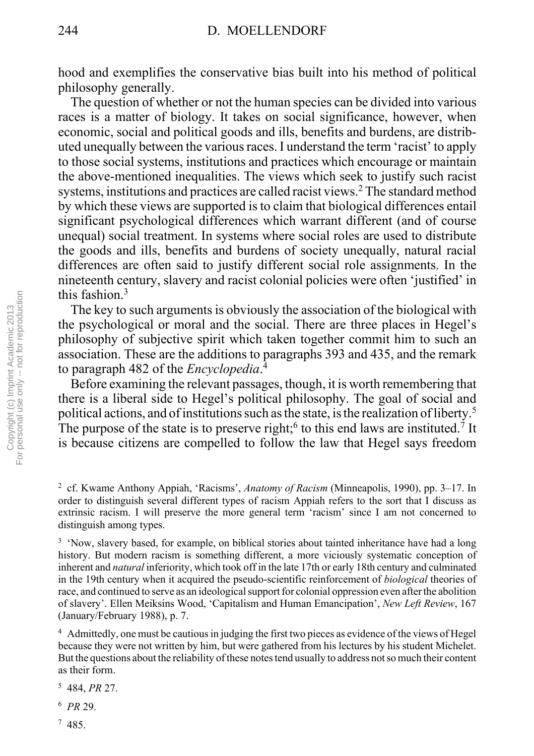hood and exemplifies the conservative bias built into his method of political philosophy generally.

 The question of whether or not the human species can be divided into various races is a matter of biology. It takes on social significance, however, when economic, social and political goods and ills, benefits and burdens, are distributed unequally between the various races. I understand the term 'racist' to apply to those social systems, institutions and practices which encourage or maintain the above-mentioned inequalities. The views which seek to justify such racist systems, institutions and practices are called racist views.<sup>2</sup> The standard method by which these views are supported is to claim that biological differences entail significant psychological differences which warrant different (and of course unequal) social treatment. In systems where social roles are used to distribute the goods and ills, benefits and burdens of society unequally, natural racial differences are often said to justify different social role assignments. In the nineteenth century, slavery and racist colonial policies were often 'justified' in this fashion.3

 The key to such arguments is obviously the association of the biological with the psychological or moral and the social. There are three places in Hegel's philosophy of subjective spirit which taken together commit him to such an association. These are the additions to paragraphs 393 and 435, and the remark to paragraph 482 of the *Encyclopedia*. 4

 Before examining the relevant passages, though, it is worth remembering that there is a liberal side to Hegel's political philosophy. The goal of social and political actions, and of institutions such as the state, is the realization of liberty.5 The purpose of the state is to preserve right;<sup>6</sup> to this end laws are instituted.<sup>7</sup> It is because citizens are compelled to follow the law that Hegel says freedom

<sup>4</sup> Admittedly, one must be cautious in judging the first two pieces as evidence of the views of Hegel because they were not written by him, but were gathered from his lectures by his student Michelet. But the questions about the reliability of these notes tend usually to address not so much their content as their form.

- 5 484, *PR* 27.
- <sup>6</sup> *PR* 29.
- 7 485.

<sup>&</sup>lt;sup>2</sup> cf. Kwame Anthony Appiah, 'Racisms', *Anatomy of Racism* (Minneapolis, 1990), pp. 3–17. In order to distinguish several different types of racism Appiah refers to the sort that I discuss as extrinsic racism. I will preserve the more general term 'racism' since I am not concerned to distinguish among types.

<sup>&</sup>lt;sup>3</sup> 'Now, slavery based, for example, on biblical stories about tainted inheritance have had a long history. But modern racism is something different, a more viciously systematic conception of inherent and *natural* inferiority, which took off in the late 17th or early 18th century and culminated in the 19th century when it acquired the pseudo-scientific reinforcement of *biological* theories of race, and continued to serve as an ideological support for colonial oppression even after the abolition of slavery'. Ellen Meiksins Wood, 'Capitalism and Human Emancipation', *New Left Review*, 167 (January/February 1988), p. 7.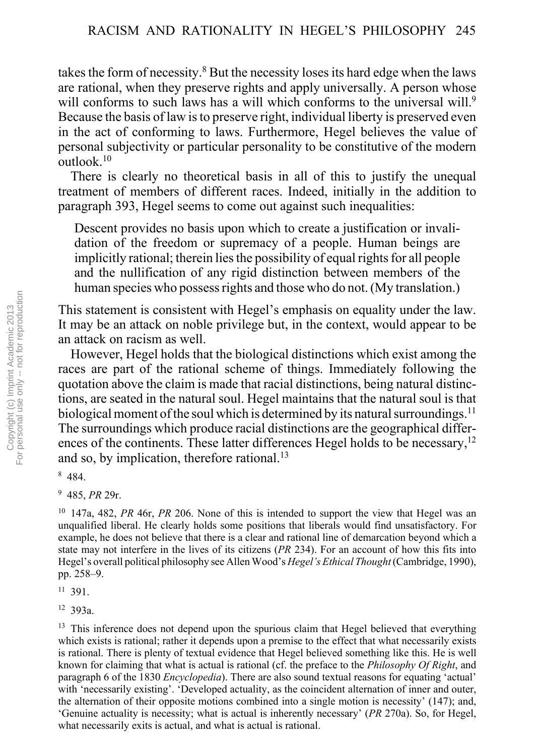takes the form of necessity.<sup>8</sup> But the necessity loses its hard edge when the laws are rational, when they preserve rights and apply universally. A person whose will conforms to such laws has a will which conforms to the universal will.<sup>9</sup> Because the basis of law is to preserve right, individual liberty is preserved even in the act of conforming to laws. Furthermore, Hegel believes the value of personal subjectivity or particular personality to be constitutive of the modern outlook.10

 There is clearly no theoretical basis in all of this to justify the unequal treatment of members of different races. Indeed, initially in the addition to paragraph 393, Hegel seems to come out against such inequalities:

Descent provides no basis upon which to create a justification or invalidation of the freedom or supremacy of a people. Human beings are implicitly rational; therein lies the possibility of equal rights for all people and the nullification of any rigid distinction between members of the human species who possess rights and those who do not. (My translation.)

This statement is consistent with Hegel's emphasis on equality under the law. It may be an attack on noble privilege but, in the context, would appear to be an attack on racism as well.

 However, Hegel holds that the biological distinctions which exist among the races are part of the rational scheme of things. Immediately following the quotation above the claim is made that racial distinctions, being natural distinctions, are seated in the natural soul. Hegel maintains that the natural soul is that biological moment of the soul which is determined by its natural surroundings.<sup>11</sup> The surroundings which produce racial distinctions are the geographical differences of the continents. These latter differences Hegel holds to be necessary,<sup>12</sup> and so, by implication, therefore rational.<sup>13</sup>

8 484.

9 485, *PR* 29r.

10 147a, 482, *PR* 46r, *PR* 206. None of this is intended to support the view that Hegel was an unqualified liberal. He clearly holds some positions that liberals would find unsatisfactory. For example, he does not believe that there is a clear and rational line of demarcation beyond which a state may not interfere in the lives of its citizens (*PR* 234). For an account of how this fits into Hegel's overall political philosophy see Allen Wood's *Hegel's Ethical Thought* (Cambridge, 1990), pp. 258–9.

11 391.

12 393a.

<sup>13</sup> This inference does not depend upon the spurious claim that Hegel believed that everything which exists is rational; rather it depends upon a premise to the effect that what necessarily exists is rational. There is plenty of textual evidence that Hegel believed something like this. He is well known for claiming that what is actual is rational (cf. the preface to the *Philosophy Of Right*, and paragraph 6 of the 1830 *Encyclopedia*). There are also sound textual reasons for equating 'actual' with 'necessarily existing'. 'Developed actuality, as the coincident alternation of inner and outer, the alternation of their opposite motions combined into a single motion is necessity $(147)$ ; and, ëGenuine actuality is necessity; what is actual is inherently necessaryí (*PR* 270a). So, for Hegel, what necessarily exits is actual, and what is actual is rational.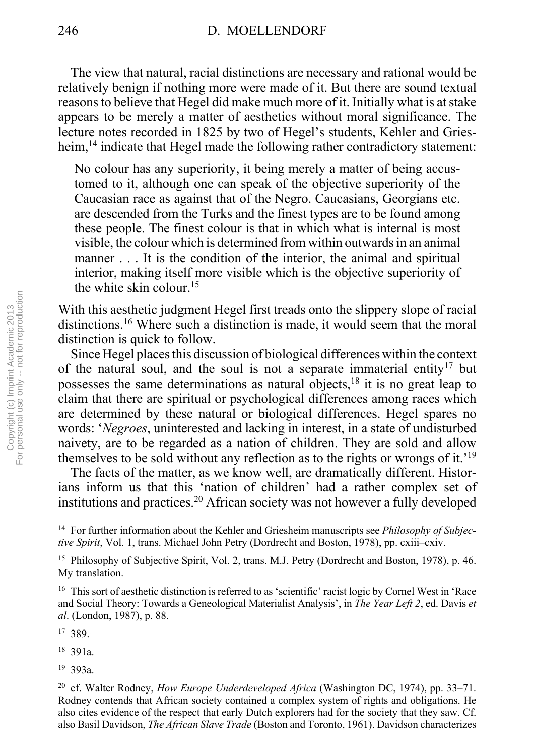The view that natural, racial distinctions are necessary and rational would be relatively benign if nothing more were made of it. But there are sound textual reasons to believe that Hegel did make much more of it. Initially what is at stake appears to be merely a matter of aesthetics without moral significance. The lecture notes recorded in 1825 by two of Hegel's students, Kehler and Griesheim,<sup>14</sup> indicate that Hegel made the following rather contradictory statement:

No colour has any superiority, it being merely a matter of being accustomed to it, although one can speak of the objective superiority of the Caucasian race as against that of the Negro. Caucasians, Georgians etc. are descended from the Turks and the finest types are to be found among these people. The finest colour is that in which what is internal is most visible, the colour which is determined from within outwards in an animal manner . . . It is the condition of the interior, the animal and spiritual interior, making itself more visible which is the objective superiority of the white skin colour.15

With this aesthetic judgment Hegel first treads onto the slippery slope of racial distinctions.16 Where such a distinction is made, it would seem that the moral distinction is quick to follow.

 Since Hegel places this discussion of biological differences within the context of the natural soul, and the soul is not a separate immaterial entity<sup>17</sup> but possesses the same determinations as natural objects,<sup>18</sup> it is no great leap to claim that there are spiritual or psychological differences among races which are determined by these natural or biological differences. Hegel spares no words: ë*Negroes*, uninterested and lacking in interest, in a state of undisturbed naivety, are to be regarded as a nation of children. They are sold and allow themselves to be sold without any reflection as to the rights or wrongs of it.<sup>19</sup>

 The facts of the matter, as we know well, are dramatically different. Historians inform us that this 'nation of children' had a rather complex set of institutions and practices.20 African society was not however a fully developed

17 389.

18 391a.

19 393a.

<sup>14</sup> For further information about the Kehler and Griesheim manuscripts see *Philosophy of Subjective Spirit*, Vol. 1, trans. Michael John Petry (Dordrecht and Boston, 1978), pp. cxiii–cxiv.

<sup>&</sup>lt;sup>15</sup> Philosophy of Subjective Spirit, Vol. 2, trans. M.J. Petry (Dordrecht and Boston, 1978), p. 46. My translation.

<sup>&</sup>lt;sup>16</sup> This sort of aesthetic distinction is referred to as 'scientific' racist logic by Cornel West in 'Race and Social Theory: Towards a Geneological Materialist Analysis', in *The Year Left 2*, ed. Davis *et al*. (London, 1987), p. 88.

<sup>&</sup>lt;sup>20</sup> cf. Walter Rodney, *How Europe Underdeveloped Africa* (Washington DC, 1974), pp. 33–71. Rodney contends that African society contained a complex system of rights and obligations. He also cites evidence of the respect that early Dutch explorers had for the society that they saw. Cf. also Basil Davidson, *The African Slave Trade* (Boston and Toronto, 1961). Davidson characterizes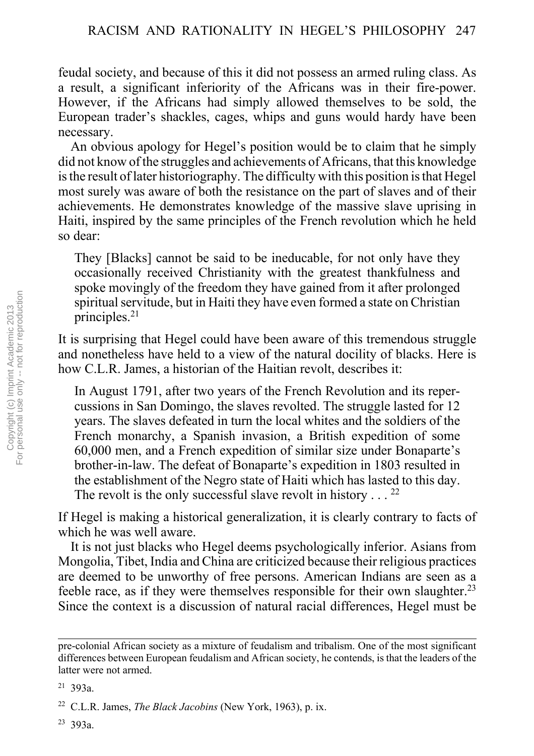feudal society, and because of this it did not possess an armed ruling class. As a result, a significant inferiority of the Africans was in their fire-power. However, if the Africans had simply allowed themselves to be sold, the European trader's shackles, cages, whips and guns would hardy have been necessary.

An obvious apology for Hegel's position would be to claim that he simply did not know of the struggles and achievements of Africans, that this knowledge is the result of later historiography. The difficulty with this position is that Hegel most surely was aware of both the resistance on the part of slaves and of their achievements. He demonstrates knowledge of the massive slave uprising in Haiti, inspired by the same principles of the French revolution which he held so dear:

They [Blacks] cannot be said to be ineducable, for not only have they occasionally received Christianity with the greatest thankfulness and spoke movingly of the freedom they have gained from it after prolonged spiritual servitude, but in Haiti they have even formed a state on Christian principles.21

It is surprising that Hegel could have been aware of this tremendous struggle and nonetheless have held to a view of the natural docility of blacks. Here is how C.L.R. James, a historian of the Haitian revolt, describes it:

In August 1791, after two years of the French Revolution and its repercussions in San Domingo, the slaves revolted. The struggle lasted for 12 years. The slaves defeated in turn the local whites and the soldiers of the French monarchy, a Spanish invasion, a British expedition of some 60,000 men, and a French expedition of similar size under Bonaparte's brother-in-law. The defeat of Bonaparte's expedition in 1803 resulted in the establishment of the Negro state of Haiti which has lasted to this day. The revolt is the only successful slave revolt in history  $\ldots$  <sup>22</sup>

If Hegel is making a historical generalization, it is clearly contrary to facts of which he was well aware.

 It is not just blacks who Hegel deems psychologically inferior. Asians from Mongolia, Tibet, India and China are criticized because their religious practices are deemed to be unworthy of free persons. American Indians are seen as a feeble race, as if they were themselves responsible for their own slaughter.<sup>23</sup> Since the context is a discussion of natural racial differences, Hegel must be

pre-colonial African society as a mixture of feudalism and tribalism. One of the most significant differences between European feudalism and African society, he contends, is that the leaders of the latter were not armed.

<sup>21 393</sup>a.

<sup>22</sup> C.L.R. James, *The Black Jacobins* (New York, 1963), p. ix.

<sup>23 393</sup>a.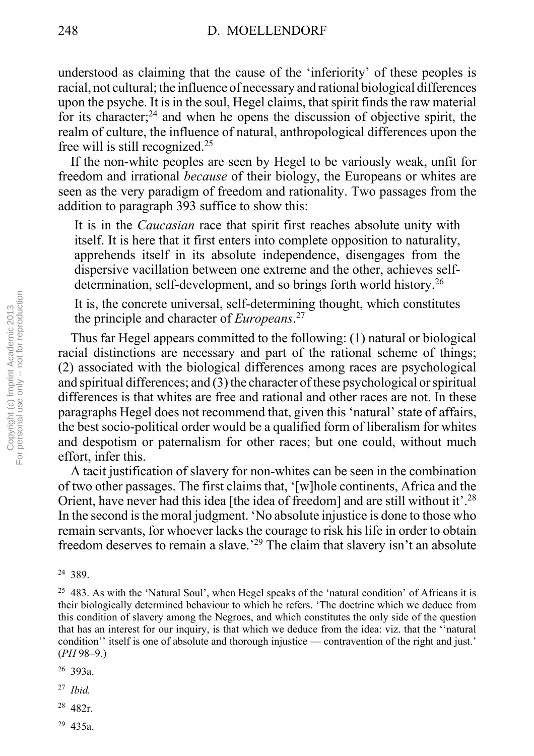understood as claiming that the cause of the 'inferiority' of these peoples is racial, not cultural; the influence of necessary and rational biological differences upon the psyche. It is in the soul, Hegel claims, that spirit finds the raw material for its character; $^{24}$  and when he opens the discussion of objective spirit, the realm of culture, the influence of natural, anthropological differences upon the free will is still recognized.25

 If the non-white peoples are seen by Hegel to be variously weak, unfit for freedom and irrational *because* of their biology, the Europeans or whites are seen as the very paradigm of freedom and rationality. Two passages from the addition to paragraph 393 suffice to show this:

It is in the *Caucasian* race that spirit first reaches absolute unity with itself. It is here that it first enters into complete opposition to naturality, apprehends itself in its absolute independence, disengages from the dispersive vacillation between one extreme and the other, achieves selfdetermination, self-development, and so brings forth world history.26

It is, the concrete universal, self-determining thought, which constitutes the principle and character of *Europeans*. 27

 Thus far Hegel appears committed to the following: (1) natural or biological racial distinctions are necessary and part of the rational scheme of things; (2) associated with the biological differences among races are psychological and spiritual differences; and (3) the character of these psychological or spiritual differences is that whites are free and rational and other races are not. In these paragraphs Hegel does not recommend that, given this 'natural' state of affairs, the best socio-political order would be a qualified form of liberalism for whites and despotism or paternalism for other races; but one could, without much effort, infer this.

 A tacit justification of slavery for non-whites can be seen in the combination of two other passages. The first claims that, ë[w]hole continents, Africa and the Orient, have never had this idea [the idea of freedom] and are still without it'.<sup>28</sup> In the second is the moral judgment. 'No absolute injustice is done to those who remain servants, for whoever lacks the courage to risk his life in order to obtain freedom deserves to remain a slave.<sup>29</sup> The claim that slavery isn't an absolute

- <sup>27</sup> *Ibid.*
- 28 482r.
- 29 435a.

<sup>24 389.</sup>

 $25$  483. As with the 'Natural Soul', when Hegel speaks of the 'natural condition' of Africans it is their biologically determined behaviour to which he refers. ëThe doctrine which we deduce from this condition of slavery among the Negroes, and which constitutes the only side of the question that has an interest for our inquiry, is that which we deduce from the idea: viz. that the "natural" condition<sup>7</sup> itself is one of absolute and thorough injustice — contravention of the right and just.<sup>7</sup>  $(PH 98-9.)$ 

<sup>26 393</sup>a.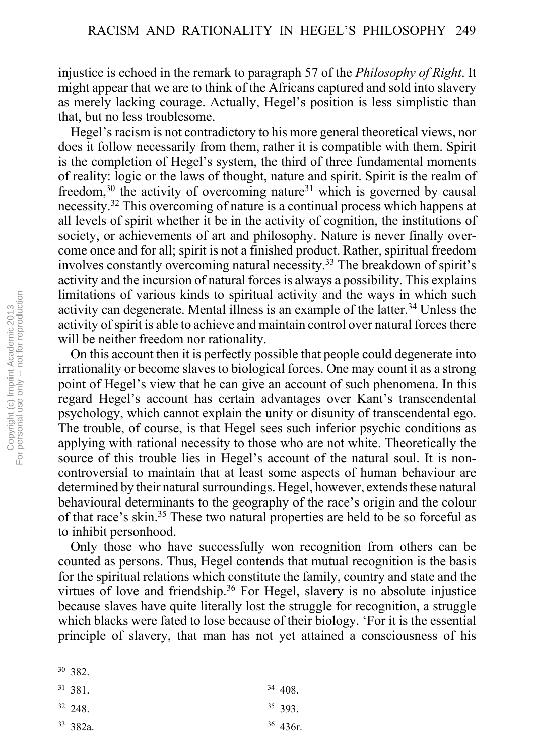injustice is echoed in the remark to paragraph 57 of the *Philosophy of Right*. It might appear that we are to think of the Africans captured and sold into slavery as merely lacking courage. Actually, Hegel's position is less simplistic than that, but no less troublesome.

Hegel's racism is not contradictory to his more general theoretical views, nor does it follow necessarily from them, rather it is compatible with them. Spirit is the completion of Hegel's system, the third of three fundamental moments of reality: logic or the laws of thought, nature and spirit. Spirit is the realm of freedom, $30$  the activity of overcoming nature<sup>31</sup> which is governed by causal necessity.32 This overcoming of nature is a continual process which happens at all levels of spirit whether it be in the activity of cognition, the institutions of society, or achievements of art and philosophy. Nature is never finally overcome once and for all; spirit is not a finished product. Rather, spiritual freedom involves constantly overcoming natural necessity.<sup>33</sup> The breakdown of spirit's activity and the incursion of natural forces is always a possibility. This explains limitations of various kinds to spiritual activity and the ways in which such activity can degenerate. Mental illness is an example of the latter.<sup>34</sup> Unless the activity of spirit is able to achieve and maintain control over natural forces there will be neither freedom nor rationality.

 On this account then it is perfectly possible that people could degenerate into irrationality or become slaves to biological forces. One may count it as a strong point of Hegel's view that he can give an account of such phenomena. In this regard Hegel's account has certain advantages over Kant's transcendental psychology, which cannot explain the unity or disunity of transcendental ego. The trouble, of course, is that Hegel sees such inferior psychic conditions as applying with rational necessity to those who are not white. Theoretically the source of this trouble lies in Hegel's account of the natural soul. It is noncontroversial to maintain that at least some aspects of human behaviour are determined by their natural surroundings. Hegel, however, extends these natural behavioural determinants to the geography of the race's origin and the colour of that race's skin.<sup>35</sup> These two natural properties are held to be so forceful as to inhibit personhood.

 Only those who have successfully won recognition from others can be counted as persons. Thus, Hegel contends that mutual recognition is the basis for the spiritual relations which constitute the family, country and state and the virtues of love and friendship.<sup>36</sup> For Hegel, slavery is no absolute injustice because slaves have quite literally lost the struggle for recognition, a struggle which blacks were fated to lose because of their biology. 'For it is the essential principle of slavery, that man has not yet attained a consciousness of his

- 32 248.
- 33 382a.

34 408. 35 393. 36 436r.

<sup>30 382.</sup> 31 381.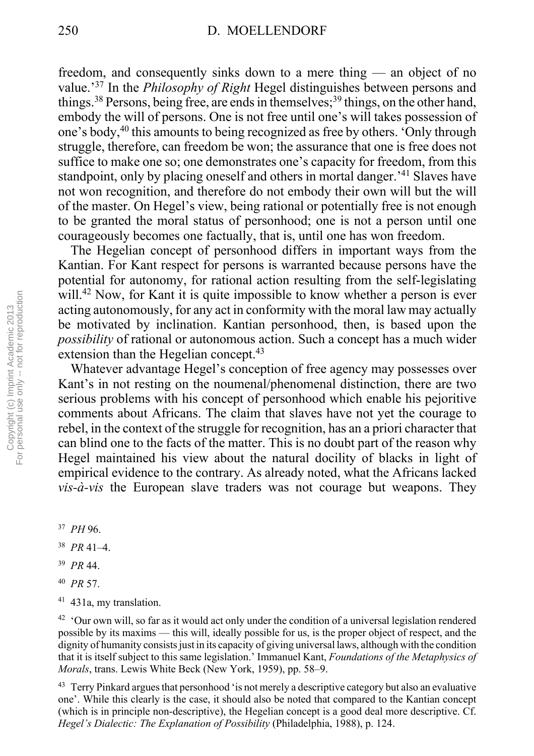freedom, and consequently sinks down to a mere thing  $-$  an object of no value.<sup>37</sup> In the *Philosophy of Right* Hegel distinguishes between persons and things.<sup>38</sup> Persons, being free, are ends in themselves;<sup>39</sup> things, on the other hand, embody the will of persons. One is not free until one's will takes possession of one's body,<sup>40</sup> this amounts to being recognized as free by others. 'Only through struggle, therefore, can freedom be won; the assurance that one is free does not suffice to make one so; one demonstrates one's capacity for freedom, from this standpoint, only by placing oneself and others in mortal danger.<sup> $41$ </sup> Slaves have not won recognition, and therefore do not embody their own will but the will of the master. On Hegel's view, being rational or potentially free is not enough to be granted the moral status of personhood; one is not a person until one courageously becomes one factually, that is, until one has won freedom.

 The Hegelian concept of personhood differs in important ways from the Kantian. For Kant respect for persons is warranted because persons have the potential for autonomy, for rational action resulting from the self-legislating will.<sup>42</sup> Now, for Kant it is quite impossible to know whether a person is ever acting autonomously, for any act in conformity with the moral law may actually be motivated by inclination. Kantian personhood, then, is based upon the *possibility* of rational or autonomous action. Such a concept has a much wider extension than the Hegelian concept.<sup>43</sup>

Whatever advantage Hegel's conception of free agency may possesses over Kant's in not resting on the noumenal/phenomenal distinction, there are two serious problems with his concept of personhood which enable his pejoritive comments about Africans. The claim that slaves have not yet the courage to rebel, in the context of the struggle for recognition, has an a priori character that can blind one to the facts of the matter. This is no doubt part of the reason why Hegel maintained his view about the natural docility of blacks in light of empirical evidence to the contrary. As already noted, what the Africans lacked *vis-à-vis* the European slave traders was not courage but weapons. They

- $38$  *PR* 41–4.
- <sup>39</sup> *PR* 44.
- <sup>40</sup> *PR* 57.
- 41 431a, my translation.

<sup>42</sup> 'Our own will, so far as it would act only under the condition of a universal legislation rendered possible by its maxims — this will, ideally possible for us, is the proper object of respect, and the dignity of humanity consists just in its capacity of giving universal laws, although with the condition that it is itself subject to this same legislation.' Immanuel Kant, *Foundations of the Metaphysics of Morals*, trans. Lewis White Beck (New York, 1959), pp. 58–9.

<sup>43</sup> Terry Pinkard argues that personhood 'is not merely a descriptive category but also an evaluative one'. While this clearly is the case, it should also be noted that compared to the Kantian concept (which is in principle non-descriptive), the Hegelian concept is a good deal more descriptive. Cf. *Hegel's Dialectic: The Explanation of Possibility* (Philadelphia, 1988), p. 124.

<sup>37</sup> *PH* 96.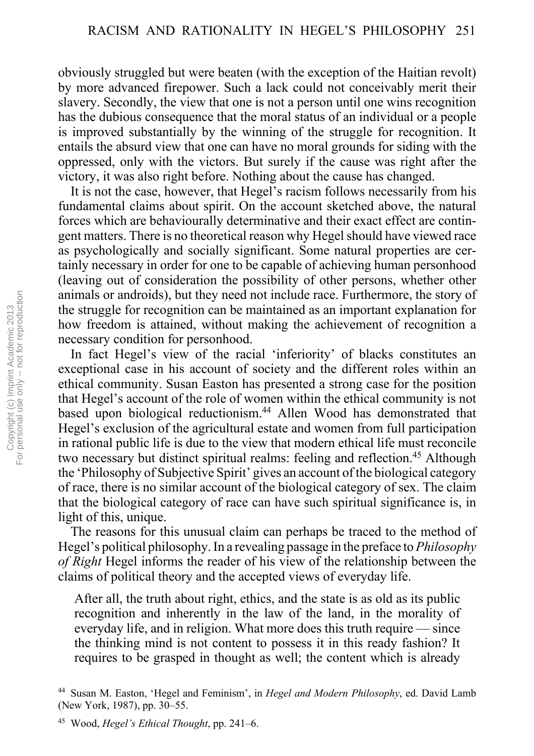obviously struggled but were beaten (with the exception of the Haitian revolt) by more advanced firepower. Such a lack could not conceivably merit their slavery. Secondly, the view that one is not a person until one wins recognition has the dubious consequence that the moral status of an individual or a people is improved substantially by the winning of the struggle for recognition. It entails the absurd view that one can have no moral grounds for siding with the oppressed, only with the victors. But surely if the cause was right after the victory, it was also right before. Nothing about the cause has changed.

It is not the case, however, that Hegel's racism follows necessarily from his fundamental claims about spirit. On the account sketched above, the natural forces which are behaviourally determinative and their exact effect are contingent matters. There is no theoretical reason why Hegel should have viewed race as psychologically and socially significant. Some natural properties are certainly necessary in order for one to be capable of achieving human personhood (leaving out of consideration the possibility of other persons, whether other animals or androids), but they need not include race. Furthermore, the story of the struggle for recognition can be maintained as an important explanation for how freedom is attained, without making the achievement of recognition a necessary condition for personhood.

In fact Hegel's view of the racial 'inferiority' of blacks constitutes an exceptional case in his account of society and the different roles within an ethical community. Susan Easton has presented a strong case for the position that Hegel's account of the role of women within the ethical community is not based upon biological reductionism.<sup>44</sup> Allen Wood has demonstrated that Hegel's exclusion of the agricultural estate and women from full participation in rational public life is due to the view that modern ethical life must reconcile two necessary but distinct spiritual realms: feeling and reflection.<sup>45</sup> Although the 'Philosophy of Subjective Spirit' gives an account of the biological category of race, there is no similar account of the biological category of sex. The claim that the biological category of race can have such spiritual significance is, in light of this, unique.

 The reasons for this unusual claim can perhaps be traced to the method of Hegel's political philosophy. In a revealing passage in the preface to *Philosophy of Right* Hegel informs the reader of his view of the relationship between the claims of political theory and the accepted views of everyday life.

After all, the truth about right, ethics, and the state is as old as its public recognition and inherently in the law of the land, in the morality of everyday life, and in religion. What more does this truth require  $\sim$  since the thinking mind is not content to possess it in this ready fashion? It requires to be grasped in thought as well; the content which is already

<sup>&</sup>lt;sup>44</sup> Susan M. Easton, 'Hegel and Feminism', in *Hegel and Modern Philosophy*, ed. David Lamb (New York, 1987), pp. 30–55.

<sup>&</sup>lt;sup>45</sup> Wood, *Hegel's Ethical Thought*, pp. 241–6.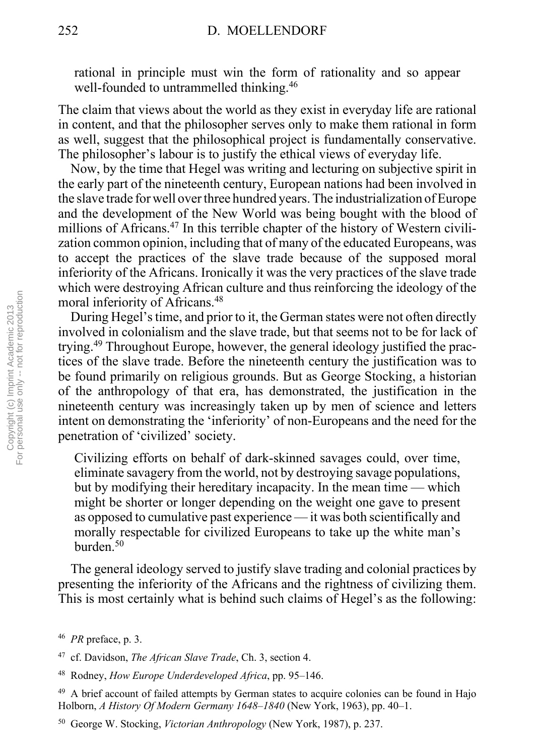rational in principle must win the form of rationality and so appear well-founded to untrammelled thinking.<sup>46</sup>

The claim that views about the world as they exist in everyday life are rational in content, and that the philosopher serves only to make them rational in form as well, suggest that the philosophical project is fundamentally conservative. The philosopher's labour is to justify the ethical views of everyday life.

 Now, by the time that Hegel was writing and lecturing on subjective spirit in the early part of the nineteenth century, European nations had been involved in the slave trade for well over three hundred years. The industrialization of Europe and the development of the New World was being bought with the blood of millions of Africans.<sup>47</sup> In this terrible chapter of the history of Western civilization common opinion, including that of many of the educated Europeans, was to accept the practices of the slave trade because of the supposed moral inferiority of the Africans. Ironically it was the very practices of the slave trade which were destroying African culture and thus reinforcing the ideology of the moral inferiority of Africans.48

During Hegel's time, and prior to it, the German states were not often directly involved in colonialism and the slave trade, but that seems not to be for lack of trying.49 Throughout Europe, however, the general ideology justified the practices of the slave trade. Before the nineteenth century the justification was to be found primarily on religious grounds. But as George Stocking, a historian of the anthropology of that era, has demonstrated, the justification in the nineteenth century was increasingly taken up by men of science and letters intent on demonstrating the 'inferiority' of non-Europeans and the need for the penetration of 'civilized' society.

Civilizing efforts on behalf of dark-skinned savages could, over time, eliminate savagery from the world, not by destroying savage populations, but by modifying their hereditary incapacity. In the mean time  $-$  which might be shorter or longer depending on the weight one gave to present as opposed to cumulative past experience — it was both scientifically and morally respectable for civilized Europeans to take up the white man's burden<sup>50</sup>

 The general ideology served to justify slave trading and colonial practices by presenting the inferiority of the Africans and the rightness of civilizing them. This is most certainly what is behind such claims of Hegel's as the following:

<sup>46</sup> *PR* preface, p. 3.

<sup>47</sup> cf. Davidson, *The African Slave Trade*, Ch. 3, section 4.

<sup>&</sup>lt;sup>48</sup> Rodney, *How Europe Underdeveloped Africa*, pp. 95–146.

<sup>&</sup>lt;sup>49</sup> A brief account of failed attempts by German states to acquire colonies can be found in Hajo Holborn, *A History Of Modern Germany 1648*-1840 (New York, 1963), pp. 40-1.

<sup>50</sup> George W. Stocking, *Victorian Anthropology* (New York, 1987), p. 237.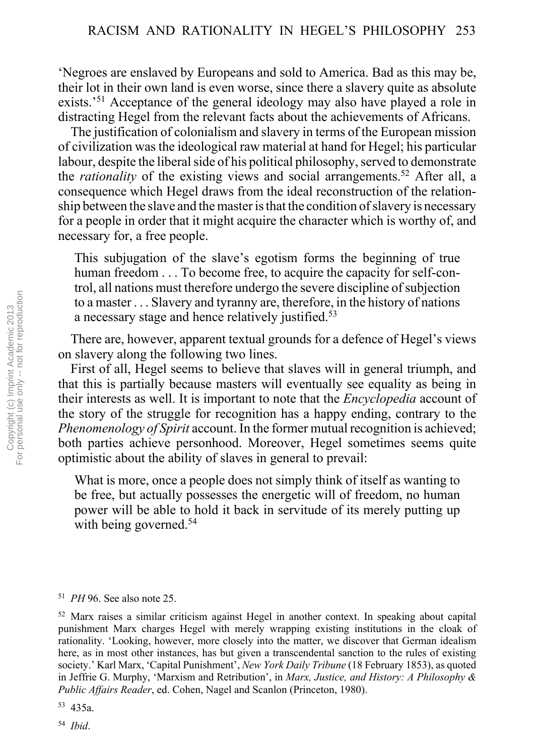ëNegroes are enslaved by Europeans and sold to America. Bad as this may be, their lot in their own land is even worse, since there a slavery quite as absolute exists.<sup>51</sup> Acceptance of the general ideology may also have played a role in distracting Hegel from the relevant facts about the achievements of Africans.

 The justification of colonialism and slavery in terms of the European mission of civilization was the ideological raw material at hand for Hegel; his particular labour, despite the liberal side of his political philosophy, served to demonstrate the *rationality* of the existing views and social arrangements.<sup>52</sup> After all, a consequence which Hegel draws from the ideal reconstruction of the relationship between the slave and the master is that the condition of slavery is necessary for a people in order that it might acquire the character which is worthy of, and necessary for, a free people.

This subjugation of the slave's egotism forms the beginning of true human freedom . . . To become free, to acquire the capacity for self-control, all nations must therefore undergo the severe discipline of subjection to a master . . . Slavery and tyranny are, therefore, in the history of nations a necessary stage and hence relatively justified.53

There are, however, apparent textual grounds for a defence of Hegel's views on slavery along the following two lines.

 First of all, Hegel seems to believe that slaves will in general triumph, and that this is partially because masters will eventually see equality as being in their interests as well. It is important to note that the *Encyclopedia* account of the story of the struggle for recognition has a happy ending, contrary to the *Phenomenology of Spirit* account. In the former mutual recognition is achieved; both parties achieve personhood. Moreover, Hegel sometimes seems quite optimistic about the ability of slaves in general to prevail:

What is more, once a people does not simply think of itself as wanting to be free, but actually possesses the energetic will of freedom, no human power will be able to hold it back in servitude of its merely putting up with being governed.<sup>54</sup>

## <sup>51</sup> *PH* 96. See also note 25.

52 Marx raises a similar criticism against Hegel in another context. In speaking about capital punishment Marx charges Hegel with merely wrapping existing institutions in the cloak of rationality. 'Looking, however, more closely into the matter, we discover that German idealism here, as in most other instances, has but given a transcendental sanction to the rules of existing society.' Karl Marx, 'Capital Punishment', *New York Daily Tribune* (18 February 1853), as quoted in Jeffrie G. Murphy, 'Marxism and Retribution', in *Marx, Justice, and History: A Philosophy & Public Affairs Reader*, ed. Cohen, Nagel and Scanlon (Princeton, 1980).

<sup>54</sup> *Ibid*.

<sup>53 435</sup>a.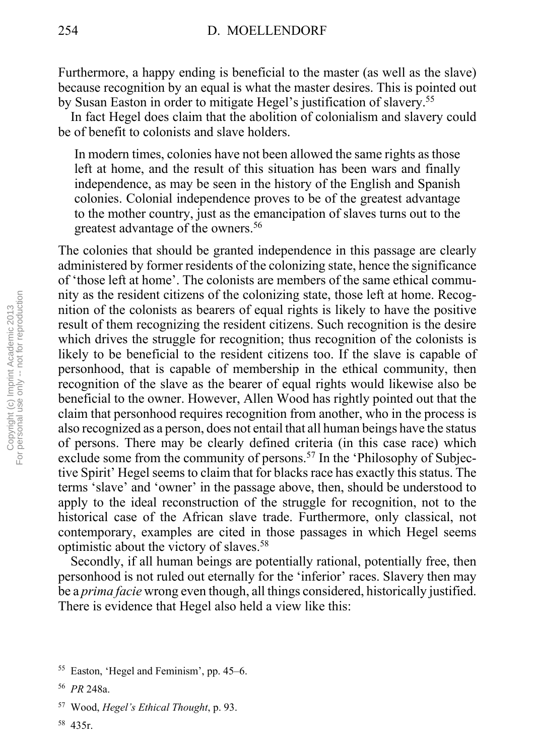Furthermore, a happy ending is beneficial to the master (as well as the slave) because recognition by an equal is what the master desires. This is pointed out by Susan Easton in order to mitigate Hegel's justification of slavery.<sup>55</sup>

 In fact Hegel does claim that the abolition of colonialism and slavery could be of benefit to colonists and slave holders.

In modern times, colonies have not been allowed the same rights as those left at home, and the result of this situation has been wars and finally independence, as may be seen in the history of the English and Spanish colonies. Colonial independence proves to be of the greatest advantage to the mother country, just as the emancipation of slaves turns out to the greatest advantage of the owners.<sup>56</sup>

The colonies that should be granted independence in this passage are clearly administered by former residents of the colonizing state, hence the significance of 'those left at home'. The colonists are members of the same ethical community as the resident citizens of the colonizing state, those left at home. Recognition of the colonists as bearers of equal rights is likely to have the positive result of them recognizing the resident citizens. Such recognition is the desire which drives the struggle for recognition; thus recognition of the colonists is likely to be beneficial to the resident citizens too. If the slave is capable of personhood, that is capable of membership in the ethical community, then recognition of the slave as the bearer of equal rights would likewise also be beneficial to the owner. However, Allen Wood has rightly pointed out that the claim that personhood requires recognition from another, who in the process is also recognized as a person, does not entail that all human beings have the status of persons. There may be clearly defined criteria (in this case race) which exclude some from the community of persons.<sup>57</sup> In the 'Philosophy of Subjective Spirit' Hegel seems to claim that for blacks race has exactly this status. The terms 'slave' and 'owner' in the passage above, then, should be understood to apply to the ideal reconstruction of the struggle for recognition, not to the historical case of the African slave trade. Furthermore, only classical, not contemporary, examples are cited in those passages in which Hegel seems optimistic about the victory of slaves.58

 Secondly, if all human beings are potentially rational, potentially free, then personhood is not ruled out eternally for the 'inferior' races. Slavery then may be a *prima facie* wrong even though, all things considered, historically justified. There is evidence that Hegel also held a view like this:

 $55$  Easton, 'Hegel and Feminism', pp. 45–6.

<sup>56</sup> *PR* 248a.

<sup>57</sup> Wood, *Hegelís Ethical Thought*, p. 93.

<sup>58 435</sup>r.